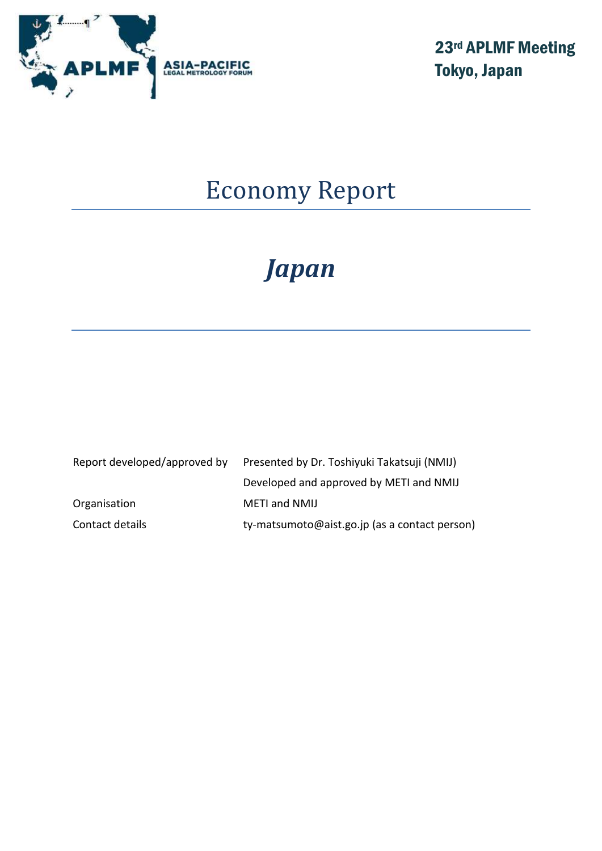

23rd APLMF Meeting Tokyo, Japan

# Economy Report

# *Japan*

| Report developed/approved by | Presented by Dr. Toshiyuki Takatsuji (NMIJ)   |  |
|------------------------------|-----------------------------------------------|--|
|                              | Developed and approved by METI and NMIJ       |  |
| Organisation                 | <b>METI and NMIJ</b>                          |  |
| Contact details              | ty-matsumoto@aist.go.jp (as a contact person) |  |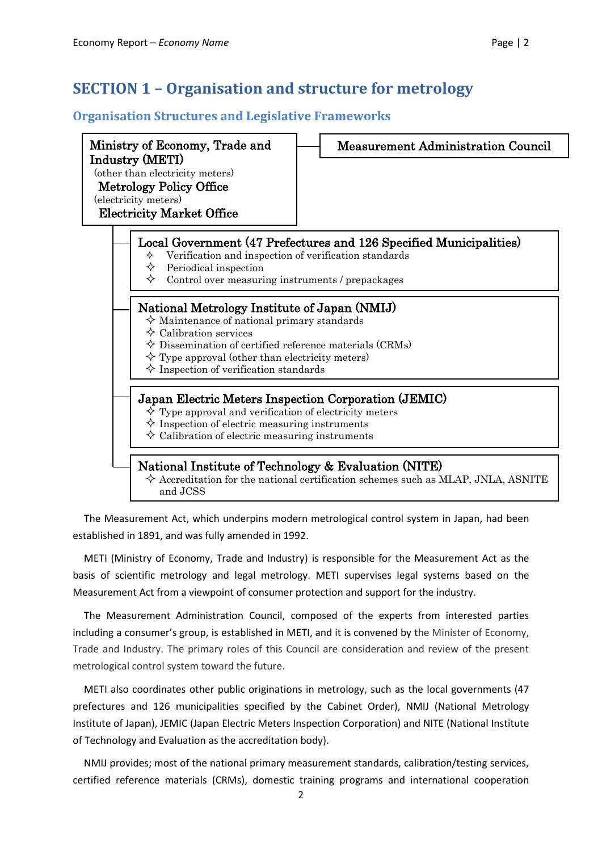### **Organisation Structures and Legislative Frameworks**



The Measurement Act, which underpins modern metrological control system in Japan, had been established in 1891, and was fully amended in 1992.

METI (Ministry of Economy, Trade and Industry) is responsible for the Measurement Act as the basis of scientific metrology and legal metrology. METI supervises legal systems based on the Measurement Act from a viewpoint of consumer protection and support for the industry.

The Measurement Administration Council, composed of the experts from interested parties including a consumer's group, is established in METI, and it is convened by the Minister of Economy, Trade and Industry. The primary roles of this Council are consideration and review of the present metrological control system toward the future.

METI also coordinates other public originations in metrology, such as the local governments (47 prefectures and 126 municipalities specified by the Cabinet Order), NMIJ (National Metrology Institute of Japan), JEMIC (Japan Electric Meters Inspection Corporation) and NITE (National Institute of Technology and Evaluation as the accreditation body).

NMIJ provides; most of the national primary measurement standards, calibration/testing services, certified reference materials (CRMs), domestic training programs and international cooperation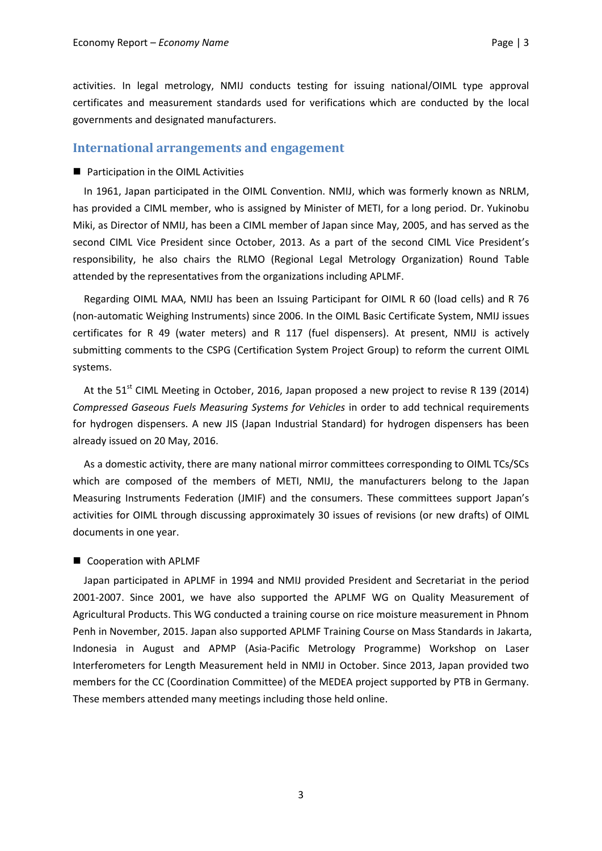activities. In legal metrology, NMIJ conducts testing for issuing national/OIML type approval certificates and measurement standards used for verifications which are conducted by the local governments and designated manufacturers.

#### **International arrangements and engagement**

#### ■ Participation in the OIML Activities

In 1961, Japan participated in the OIML Convention. NMIJ, which was formerly known as NRLM, has provided a CIML member, who is assigned by Minister of METI, for a long period. Dr. Yukinobu Miki, as Director of NMIJ, has been a CIML member of Japan since May, 2005, and has served as the second CIML Vice President since October, 2013. As a part of the second CIML Vice President's responsibility, he also chairs the RLMO (Regional Legal Metrology Organization) Round Table attended by the representatives from the organizations including APLMF.

Regarding OIML MAA, NMIJ has been an Issuing Participant for OIML R 60 (load cells) and R 76 (non-automatic Weighing Instruments) since 2006. In the OIML Basic Certificate System, NMIJ issues certificates for R 49 (water meters) and R 117 (fuel dispensers). At present, NMIJ is actively submitting comments to the CSPG (Certification System Project Group) to reform the current OIML systems.

At the 51 $^{\text{st}}$  CIML Meeting in October, 2016, Japan proposed a new project to revise R 139 (2014) *Compressed Gaseous Fuels Measuring Systems for Vehicles* in order to add technical requirements for hydrogen dispensers. A new JIS (Japan Industrial Standard) for hydrogen dispensers has been already issued on 20 May, 2016.

As a domestic activity, there are many national mirror committees corresponding to OIML TCs/SCs which are composed of the members of METI, NMIJ, the manufacturers belong to the Japan Measuring Instruments Federation (JMIF) and the consumers. These committees support Japan's activities for OIML through discussing approximately 30 issues of revisions (or new drafts) of OIML documents in one year.

#### Cooperation with APLMF

Japan participated in APLMF in 1994 and NMIJ provided President and Secretariat in the period 2001-2007. Since 2001, we have also supported the APLMF WG on Quality Measurement of Agricultural Products. This WG conducted a training course on rice moisture measurement in Phnom Penh in November, 2015. Japan also supported APLMF Training Course on Mass Standards in Jakarta, Indonesia in August and APMP (Asia-Pacific Metrology Programme) Workshop on Laser Interferometers for Length Measurement held in NMIJ in October. Since 2013, Japan provided two members for the CC (Coordination Committee) of the MEDEA project supported by PTB in Germany. These members attended many meetings including those held online.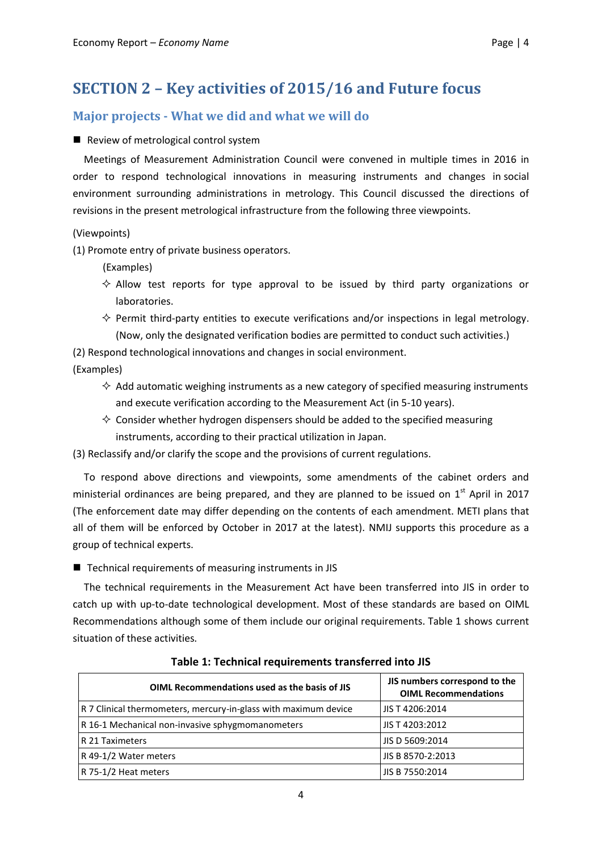## **SECTION 2 – Key activities of 2015/16 and Future focus**

### **Major projects - What we did and what we will do**

#### Review of metrological control system

Meetings of Measurement Administration Council were convened in multiple times in 2016 in order to respond technological innovations in measuring instruments and changes in social environment surrounding administrations in metrology. This Council discussed the directions of revisions in the present metrological infrastructure from the following three viewpoints.

(Viewpoints)

(1) Promote entry of private business operators.

(Examples)

- $\Diamond$  Allow test reports for type approval to be issued by third party organizations or laboratories.
- $\diamond$  Permit third-party entities to execute verifications and/or inspections in legal metrology. (Now, only the designated verification bodies are permitted to conduct such activities.)

(2) Respond technological innovations and changes in social environment. (Examples)

- $\Diamond$  Add automatic weighing instruments as a new category of specified measuring instruments and execute verification according to the Measurement Act (in 5-10 years).
- $\Diamond$  Consider whether hydrogen dispensers should be added to the specified measuring instruments, according to their practical utilization in Japan.

(3) Reclassify and/or clarify the scope and the provisions of current regulations.

To respond above directions and viewpoints, some amendments of the cabinet orders and ministerial ordinances are being prepared, and they are planned to be issued on 1<sup>st</sup> April in 2017 (The enforcement date may differ depending on the contents of each amendment. METI plans that all of them will be enforced by October in 2017 at the latest). NMIJ supports this procedure as a group of technical experts.

 $\blacksquare$  Technical requirements of measuring instruments in JIS

The technical requirements in the Measurement Act have been transferred into JIS in order to catch up with up-to-date technological development. Most of these standards are based on OIML Recommendations although some of them include our original requirements. Table 1 shows current situation of these activities.

| OIML Recommendations used as the basis of JIS                   | JIS numbers correspond to the<br><b>OIML Recommendations</b> |
|-----------------------------------------------------------------|--------------------------------------------------------------|
| R 7 Clinical thermometers, mercury-in-glass with maximum device | JIS T 4206:2014                                              |
| R 16-1 Mechanical non-invasive sphygmomanometers                | JIS T 4203:2012                                              |
| R 21 Taximeters                                                 | JIS D 5609:2014                                              |
| R 49-1/2 Water meters                                           | JIS B 8570-2:2013                                            |
| R 75-1/2 Heat meters                                            | JIS B 7550:2014                                              |

**Table 1: Technical requirements transferred into JIS**